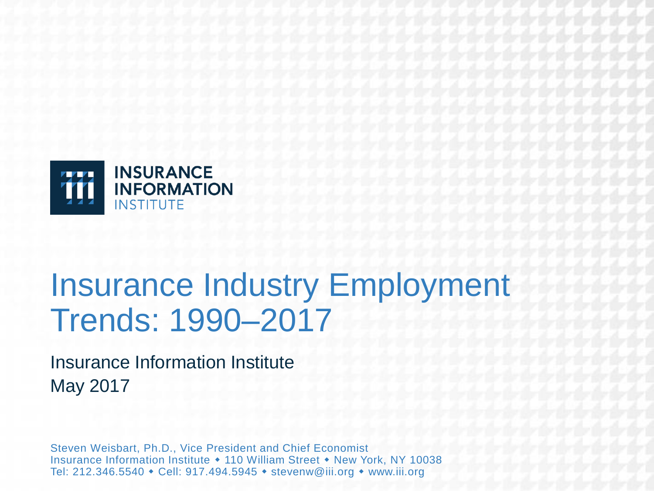

## Insurance Industry Employment Trends: 1990–2017

Insurance Information Institute May 2017

Steven Weisbart, Ph.D., Vice President and Chief Economist Insurance Information Institute • 110 William Street • New York, NY 10038 Tel: 212.346.5540 • Cell: 917.494.5945 • stevenw@iii.org • www.iii.org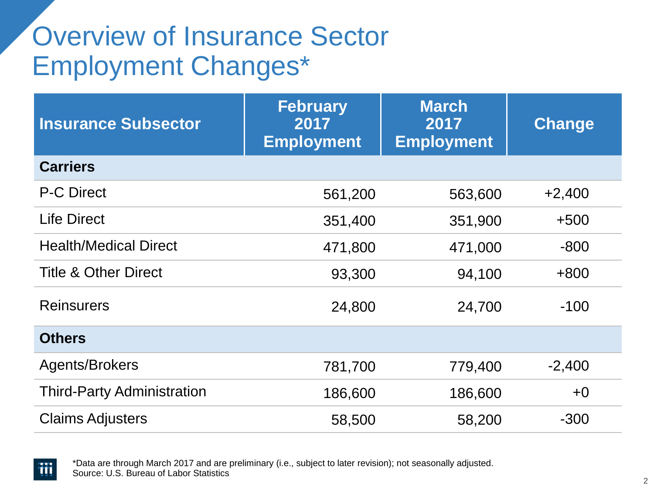### Overview of Insurance Sector Employment Changes\*

| <b>Insurance Subsector</b>        | <b>February</b><br>2017<br><b>Employment</b> | <b>March</b><br>2017<br><b>Employment</b> | <b>Change</b> |
|-----------------------------------|----------------------------------------------|-------------------------------------------|---------------|
| <b>Carriers</b>                   |                                              |                                           |               |
| <b>P-C Direct</b>                 | 561,200                                      | 563,600                                   | $+2,400$      |
| <b>Life Direct</b>                | 351,400                                      | 351,900                                   | $+500$        |
| <b>Health/Medical Direct</b>      | 471,800                                      | 471,000                                   | $-800$        |
| <b>Title &amp; Other Direct</b>   | 93,300                                       | 94,100                                    | $+800$        |
| <b>Reinsurers</b>                 | 24,800                                       | 24,700                                    | $-100$        |
| <b>Others</b>                     |                                              |                                           |               |
| Agents/Brokers                    | 781,700                                      | 779,400                                   | $-2,400$      |
| <b>Third-Party Administration</b> | 186,600                                      | 186,600                                   | $+0$          |
| <b>Claims Adjusters</b>           | 58,500                                       | 58,200                                    | $-300$        |

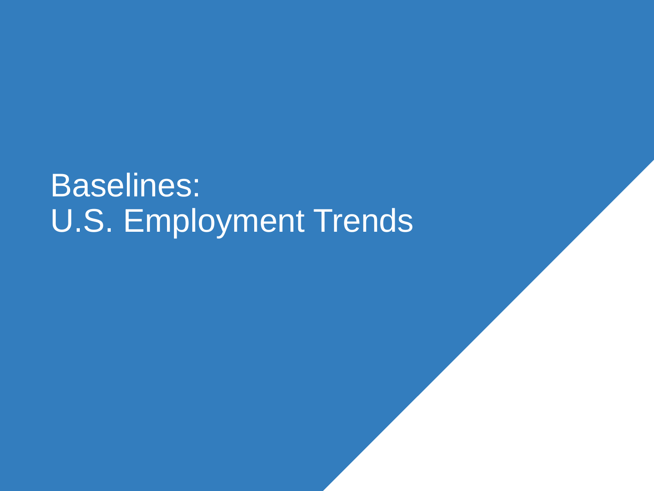# Baselines: U.S. Employment Trends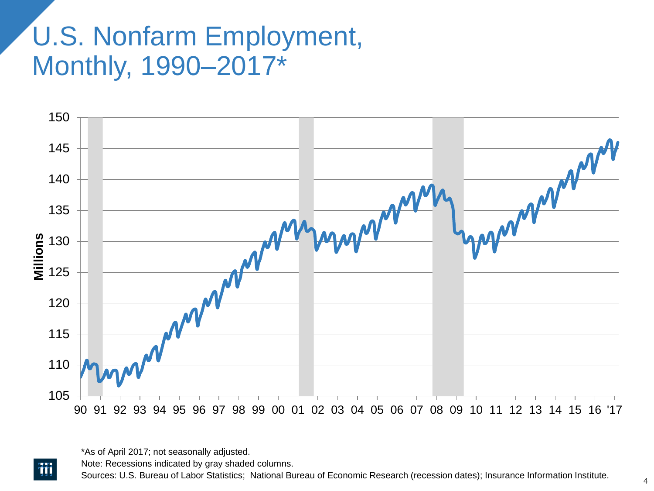### U.S. Nonfarm Employment, Monthly, 1990–2017\*



\*As of April 2017; not seasonally adjusted.

涌

Note: Recessions indicated by gray shaded columns.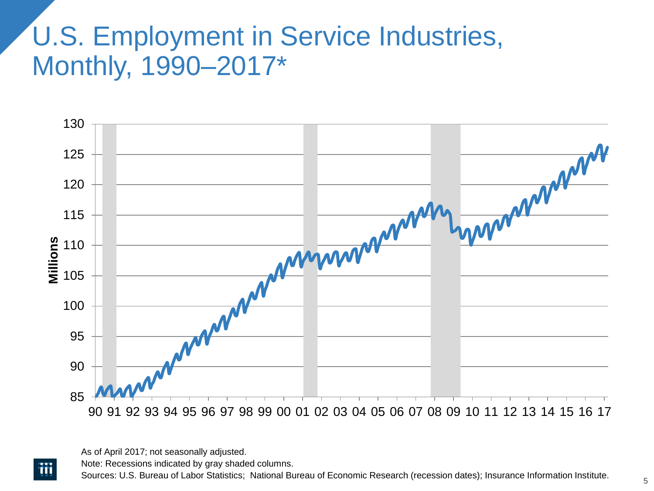### U.S. Employment in Service Industries, Monthly, 1990–2017\*



As of April 2017; not seasonally adjusted.

涌

Note: Recessions indicated by gray shaded columns.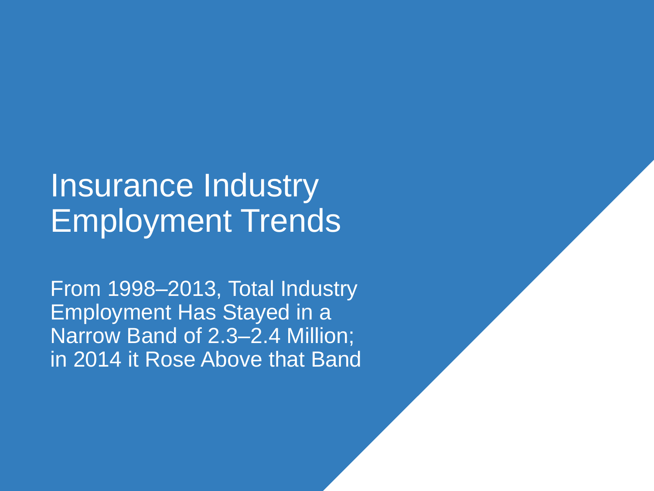## Insurance Industry Employment Trends

From 1998–2013, Total Industry Employment Has Stayed in a Narrow Band of 2.3–2.4 Million; in 2014 it Rose Above that Band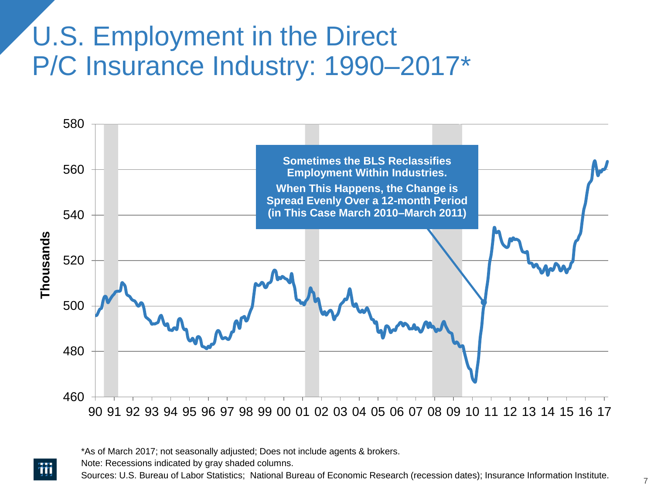#### U.S. Employment in the Direct P/C Insurance Industry: 1990–2017\*



\*As of March 2017; not seasonally adjusted; Does not include agents & brokers.

Note: Recessions indicated by gray shaded columns.

ŦŦ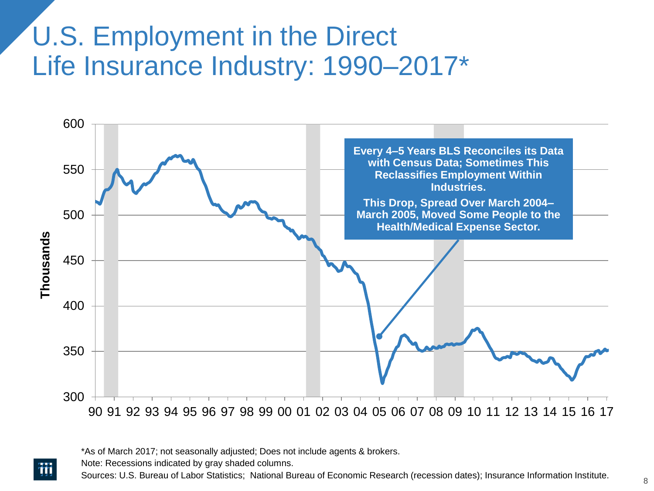#### U.S. Employment in the Direct Life Insurance Industry: 1990–2017\*



\*As of March 2017; not seasonally adjusted; Does not include agents & brokers.

Note: Recessions indicated by gray shaded columns.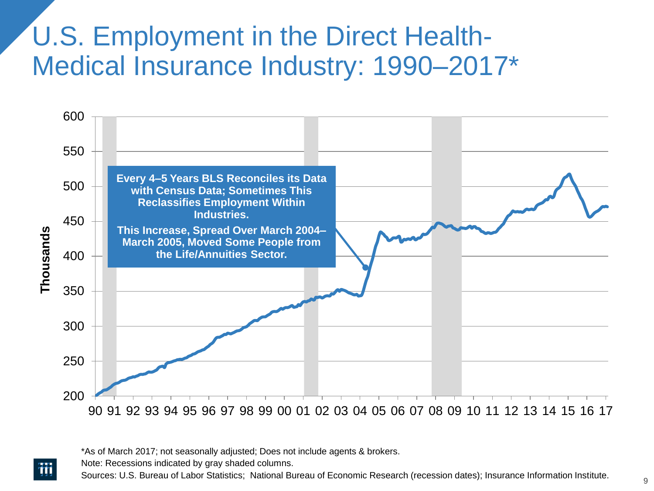#### U.S. Employment in the Direct Health-Medical Insurance Industry: 1990–2017\*



\*As of March 2017; not seasonally adjusted; Does not include agents & brokers.

Note: Recessions indicated by gray shaded columns.

涌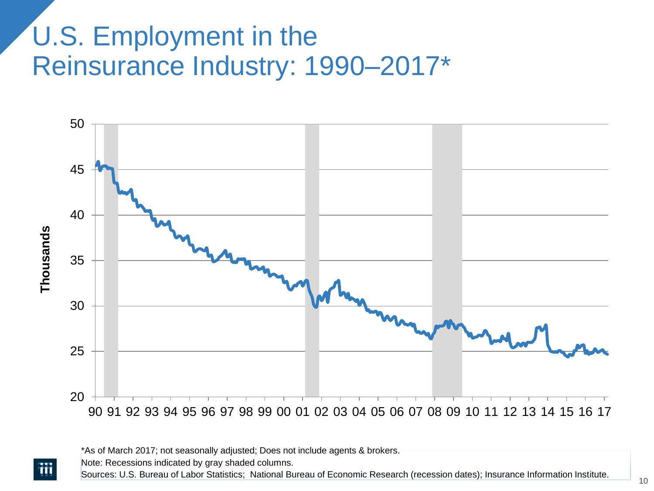#### U.S. Employment in the Reinsurance Industry: 1990–2017\*



\*As of March 2017; not seasonally adjusted; Does not include agents & brokers.

Note: Recessions indicated by gray shaded columns.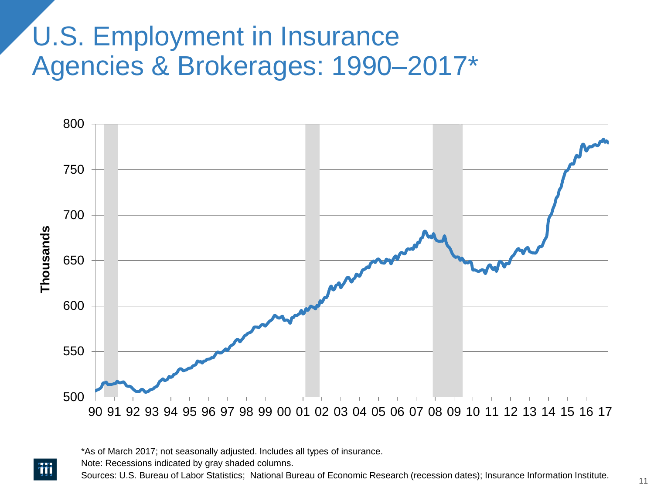#### U.S. Employment in Insurance Agencies & Brokerages: 1990–2017\*



\*As of March 2017; not seasonally adjusted. Includes all types of insurance.

Note: Recessions indicated by gray shaded columns.

ŦŦ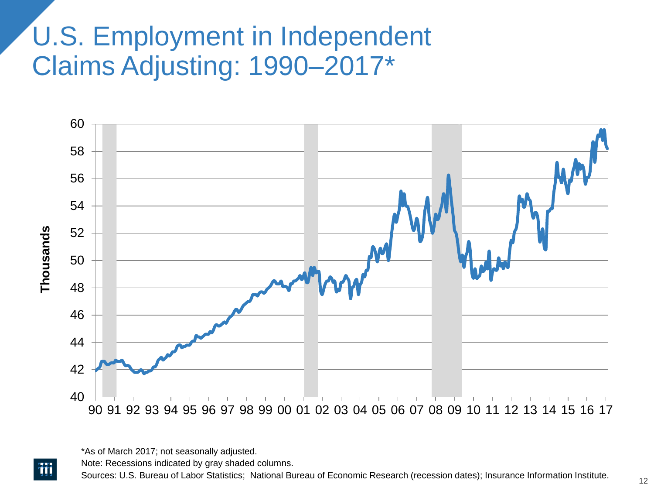#### U.S. Employment in Independent Claims Adjusting: 1990–2017\*



<sup>\*</sup>As of March 2017; not seasonally adjusted.

涌

Note: Recessions indicated by gray shaded columns.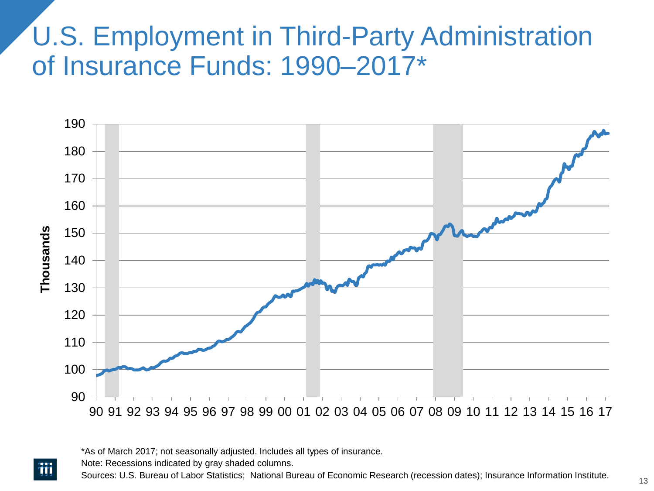#### U.S. Employment in Third-Party Administration of Insurance Funds: 1990–2017\*



\*As of March 2017; not seasonally adjusted. Includes all types of insurance.

Note: Recessions indicated by gray shaded columns.